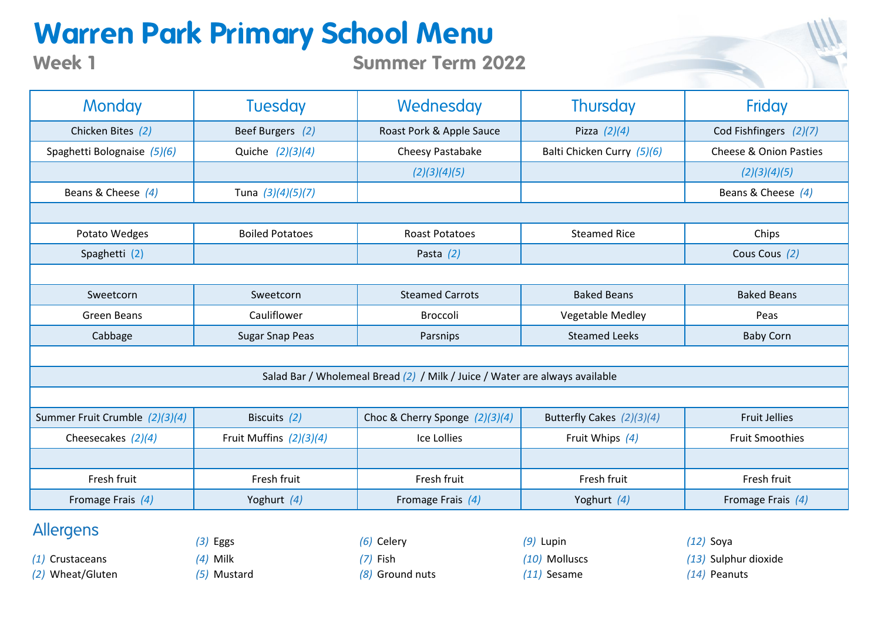## **Warren Park Primary School Menu**

**Summer Term 2022**

| <b>Monday</b>                                                               | <b>Tuesday</b>          | Wednesday                        | <b>Thursday</b>            | Friday                            |  |  |
|-----------------------------------------------------------------------------|-------------------------|----------------------------------|----------------------------|-----------------------------------|--|--|
| Chicken Bites (2)                                                           | Beef Burgers (2)        | Roast Pork & Apple Sauce         | Pizza $(2)(4)$             | Cod Fishfingers (2)(7)            |  |  |
| Spaghetti Bolognaise (5)(6)                                                 | Quiche (2)(3)(4)        | Cheesy Pastabake                 | Balti Chicken Curry (5)(6) | <b>Cheese &amp; Onion Pasties</b> |  |  |
|                                                                             |                         | (2)(3)(4)(5)                     |                            | (2)(3)(4)(5)                      |  |  |
| Beans & Cheese $(4)$                                                        | Tuna (3)(4)(5)(7)       |                                  |                            | Beans & Cheese $(4)$              |  |  |
|                                                                             |                         |                                  |                            |                                   |  |  |
| Potato Wedges                                                               | <b>Boiled Potatoes</b>  | <b>Roast Potatoes</b>            | <b>Steamed Rice</b>        | Chips                             |  |  |
| Spaghetti (2)                                                               |                         | Pasta $(2)$                      |                            | Cous Cous (2)                     |  |  |
|                                                                             |                         |                                  |                            |                                   |  |  |
| Sweetcorn                                                                   | Sweetcorn               | <b>Steamed Carrots</b>           | <b>Baked Beans</b>         | <b>Baked Beans</b>                |  |  |
| <b>Green Beans</b>                                                          | Cauliflower             | <b>Broccoli</b>                  | Vegetable Medley           | Peas                              |  |  |
| Cabbage                                                                     | <b>Sugar Snap Peas</b>  | Parsnips                         | <b>Steamed Leeks</b>       | <b>Baby Corn</b>                  |  |  |
|                                                                             |                         |                                  |                            |                                   |  |  |
| Salad Bar / Wholemeal Bread (2) / Milk / Juice / Water are always available |                         |                                  |                            |                                   |  |  |
|                                                                             |                         |                                  |                            |                                   |  |  |
| Summer Fruit Crumble (2)(3)(4)                                              | Biscuits (2)            | Choc & Cherry Sponge $(2)(3)(4)$ | Butterfly Cakes (2)(3)(4)  | <b>Fruit Jellies</b>              |  |  |
| Cheesecakes $(2)(4)$                                                        | Fruit Muffins (2)(3)(4) | Ice Lollies                      | Fruit Whips (4)            | <b>Fruit Smoothies</b>            |  |  |
|                                                                             |                         |                                  |                            |                                   |  |  |
| Fresh fruit                                                                 | Fresh fruit             | Fresh fruit                      | Fresh fruit                | Fresh fruit                       |  |  |
| Fromage Frais (4)                                                           | Yoghurt (4)             | Fromage Frais (4)                | Yoghurt (4)                | Fromage Frais (4)                 |  |  |

Allergens

**Week 1**

*(2)* Wheat/Gluten *(5)* Mustard *(8)* Ground nuts *(11)* Sesame *(14)* Peanuts

*(3)* Eggs *(6)* Celery *(9)* Lupin *(12)* Soya

- *(1)* Crustaceans *(4)* Milk *(7)* Fish *(10)* Molluscs *(13)* Sulphur dioxide
	-